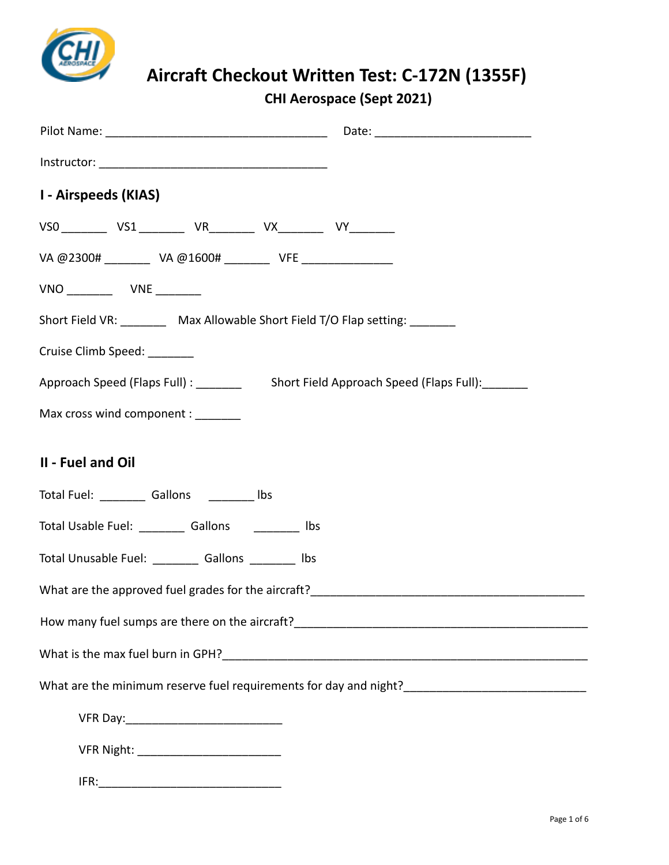

**CHI Aerospace (Sept 2021)**

| <b>I - Airspeeds (KIAS)</b> |                             |                                                        |  |                                                                                |  |
|-----------------------------|-----------------------------|--------------------------------------------------------|--|--------------------------------------------------------------------------------|--|
|                             |                             |                                                        |  | VS0 _________ VS1 __________ VR_________ VX_________ VY_________               |  |
|                             |                             |                                                        |  | VA @2300# __________ VA @1600# _________ VFE ________________                  |  |
|                             |                             |                                                        |  |                                                                                |  |
|                             |                             |                                                        |  | Short Field VR: _________ Max Allowable Short Field T/O Flap setting: ________ |  |
|                             | Cruise Climb Speed: _______ |                                                        |  |                                                                                |  |
|                             |                             |                                                        |  |                                                                                |  |
|                             |                             | Max cross wind component :                             |  |                                                                                |  |
| II - Fuel and Oil           |                             |                                                        |  |                                                                                |  |
|                             |                             | Total Fuel: ___________ Gallons ___________ lbs        |  |                                                                                |  |
|                             |                             | Total Usable Fuel: ___________ Gallons ___________ lbs |  |                                                                                |  |
|                             |                             | Total Unusable Fuel: __________ Gallons _________ lbs  |  |                                                                                |  |
|                             |                             |                                                        |  |                                                                                |  |
|                             |                             |                                                        |  |                                                                                |  |
|                             |                             |                                                        |  |                                                                                |  |
|                             |                             |                                                        |  |                                                                                |  |
|                             |                             |                                                        |  |                                                                                |  |
|                             |                             |                                                        |  |                                                                                |  |
|                             |                             |                                                        |  |                                                                                |  |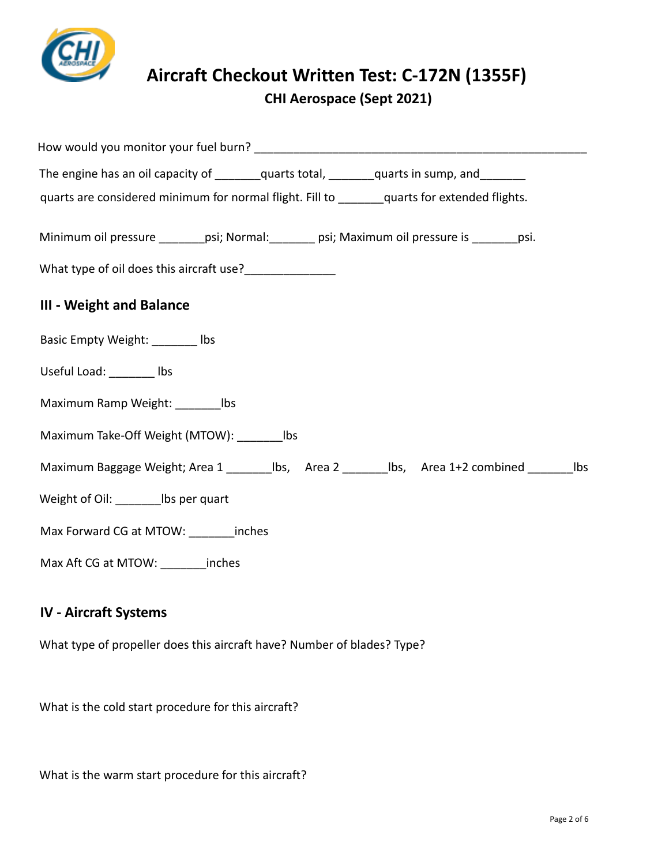

**CHI Aerospace (Sept 2021)**

| The engine has an oil capacity of ________quarts total, _______quarts in sump, and ________        |
|----------------------------------------------------------------------------------------------------|
| quarts are considered minimum for normal flight. Fill to _______ quarts for extended flights.      |
| Minimum oil pressure ________psi; Normal: _______ psi; Maximum oil pressure is _______psi.         |
| What type of oil does this aircraft use?_________________                                          |
| <b>III - Weight and Balance</b>                                                                    |
| Basic Empty Weight: ________ lbs                                                                   |
| Useful Load: ________ lbs                                                                          |
| Maximum Ramp Weight: _________ lbs                                                                 |
| Maximum Take-Off Weight (MTOW): _________ lbs                                                      |
| Maximum Baggage Weight; Area 1 _________ lbs, Area 2 _________ lbs, Area 1+2 combined ________ lbs |
| Weight of Oil: __________ lbs per quart                                                            |
| Max Forward CG at MTOW: _________ inches                                                           |
| Max Aft CG at MTOW: _______inches                                                                  |

#### **IV - Aircraft Systems**

What type of propeller does this aircraft have? Number of blades? Type?

What is the cold start procedure for this aircraft?

What is the warm start procedure for this aircraft?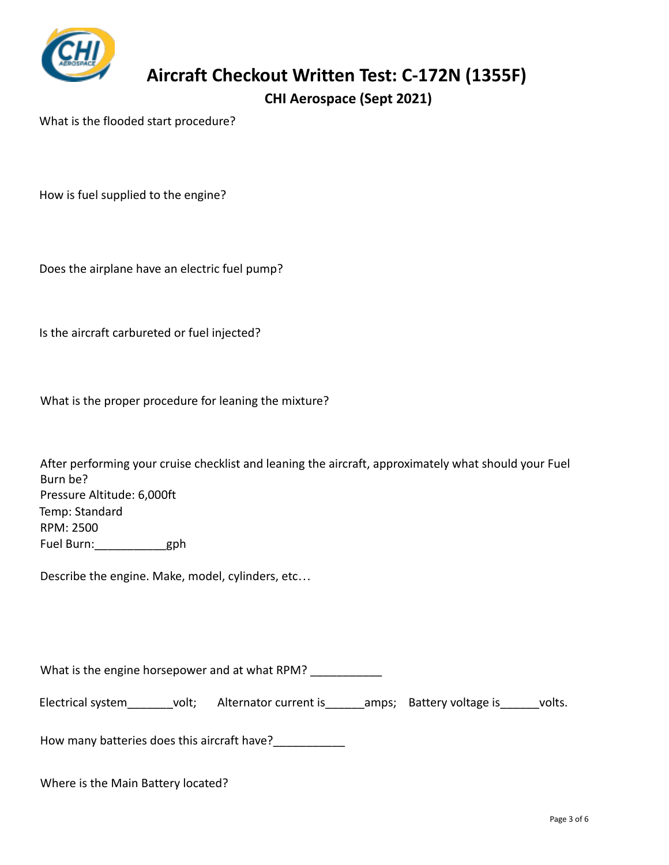

**CHI Aerospace (Sept 2021)**

What is the flooded start procedure?

How is fuel supplied to the engine?

Does the airplane have an electric fuel pump?

Is the aircraft carbureted or fuel injected?

What is the proper procedure for leaning the mixture?

| After performing your cruise checklist and leaning the aircraft, approximately what should your Fuel |
|------------------------------------------------------------------------------------------------------|
| Burn be?                                                                                             |
| Pressure Altitude: 6,000ft                                                                           |
| Temp: Standard                                                                                       |
| RPM: 2500                                                                                            |
| Fuel Burn:<br>gph                                                                                    |

Describe the engine. Make, model, cylinders, etc…

What is the engine horsepower and at what RPM?

Electrical system\_\_\_\_\_\_\_volt; Alternator current is\_\_\_\_\_\_amps; Battery voltage is\_\_\_\_\_\_volts.

How many batteries does this aircraft have?

Where is the Main Battery located?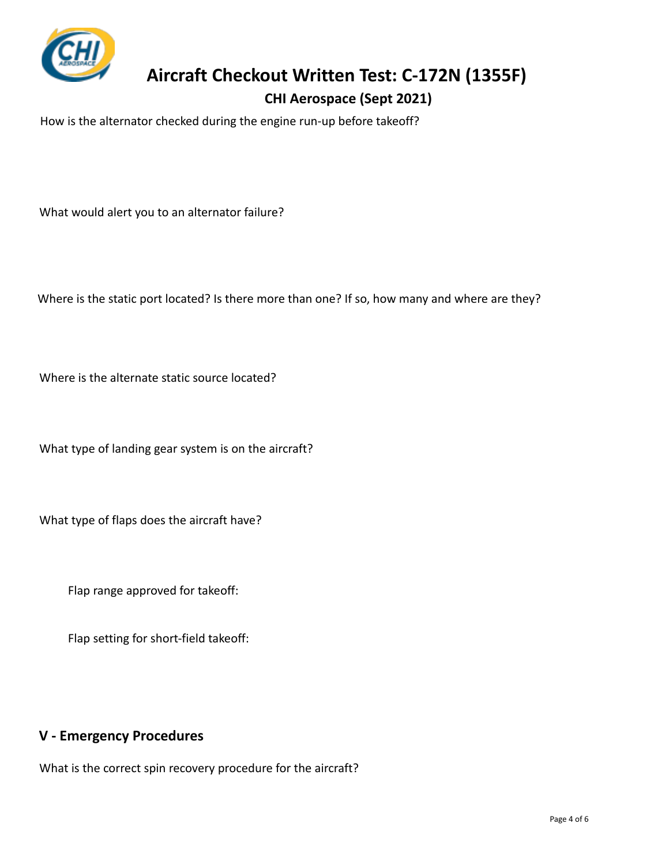

#### **CHI Aerospace (Sept 2021)**

How is the alternator checked during the engine run-up before takeoff?

What would alert you to an alternator failure?

Where is the static port located? Is there more than one? If so, how many and where are they?

Where is the alternate static source located?

What type of landing gear system is on the aircraft?

What type of flaps does the aircraft have?

Flap range approved for takeoff:

Flap setting for short-field takeoff:

#### **V - Emergency Procedures**

What is the correct spin recovery procedure for the aircraft?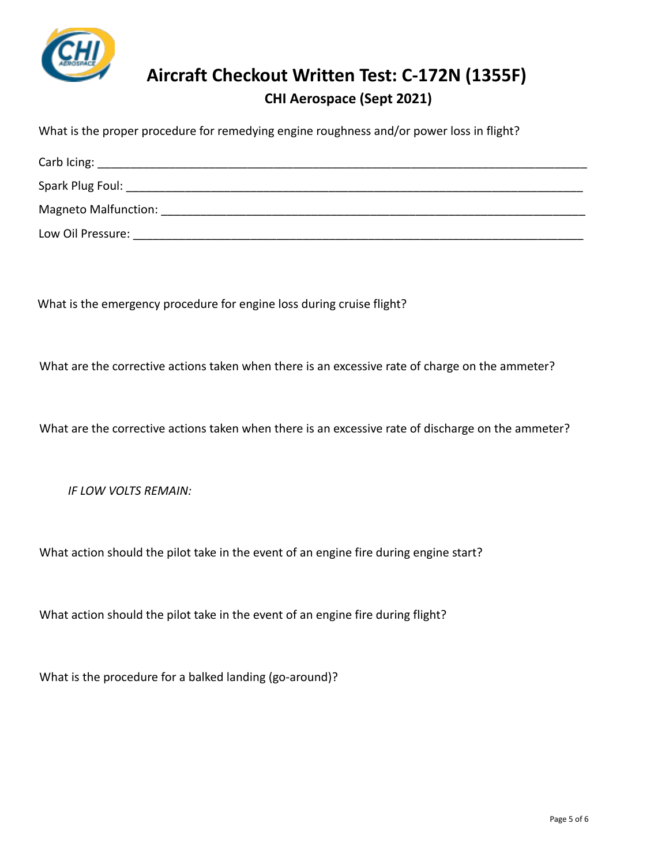

## **Aircraft Checkout Written Test: C-172N (1355F) CHI Aerospace (Sept 2021)**

What is the proper procedure for remedying engine roughness and/or power loss in flight?

| Spark Plug Foul:            |  |
|-----------------------------|--|
| <b>Magneto Malfunction:</b> |  |
| Low Oil Pressure:           |  |

What is the emergency procedure for engine loss during cruise flight?

What are the corrective actions taken when there is an excessive rate of charge on the ammeter?

What are the corrective actions taken when there is an excessive rate of discharge on the ammeter?

*IF LOW VOLTS REMAIN:*

What action should the pilot take in the event of an engine fire during engine start?

What action should the pilot take in the event of an engine fire during flight?

What is the procedure for a balked landing (go-around)?